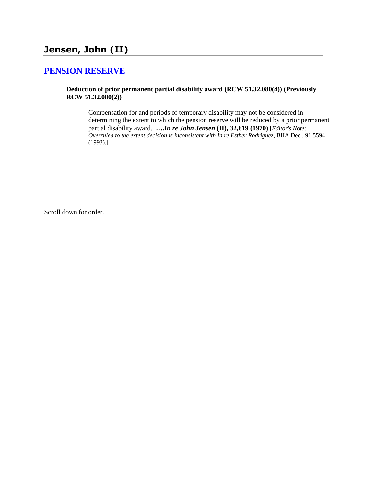# **Jensen, John (II)**

### **[PENSION RESERVE](http://www.biia.wa.gov/SDSubjectIndex.html#PENSION_RESERVE)**

### **Deduction of prior permanent partial disability award (RCW 51.32.080(4)) (Previously RCW 51.32.080(2))**

Compensation for and periods of temporary disability may not be considered in determining the extent to which the pension reserve will be reduced by a prior permanent partial disability award. **….***In re John Jensen* **(II), 32,619 (1970)** [*Editor's Note*: *Overruled to the extent decision is inconsistent with In re Esther Rodriguez*, BIIA Dec., 91 5594 (1993).]

Scroll down for order.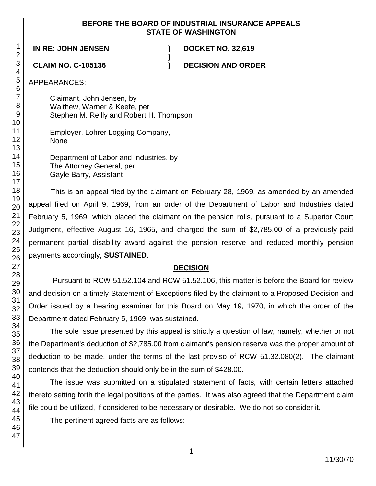### **BEFORE THE BOARD OF INDUSTRIAL INSURANCE APPEALS STATE OF WASHINGTON**

**)**

**IN RE: JOHN JENSEN ) DOCKET NO. 32,619**

**CLAIM NO. C-105136 ) DECISION AND ORDER**

APPEARANCES:

Claimant, John Jensen, by Walthew, Warner & Keefe, per Stephen M. Reilly and Robert H. Thompson

Employer, Lohrer Logging Company, None

Department of Labor and Industries, by The Attorney General, per Gayle Barry, Assistant

This is an appeal filed by the claimant on February 28, 1969, as amended by an amended appeal filed on April 9, 1969, from an order of the Department of Labor and Industries dated February 5, 1969, which placed the claimant on the pension rolls, pursuant to a Superior Court Judgment, effective August 16, 1965, and charged the sum of \$2,785.00 of a previously-paid permanent partial disability award against the pension reserve and reduced monthly pension payments accordingly, **SUSTAINED**.

### **DECISION**

Pursuant to RCW 51.52.104 and RCW 51.52.106, this matter is before the Board for review and decision on a timely Statement of Exceptions filed by the claimant to a Proposed Decision and Order issued by a hearing examiner for this Board on May 19, 1970, in which the order of the Department dated February 5, 1969, was sustained.

The sole issue presented by this appeal is strictly a question of law, namely, whether or not the Department's deduction of \$2,785.00 from claimant's pension reserve was the proper amount of deduction to be made, under the terms of the last proviso of RCW 51.32.080(2). The claimant contends that the deduction should only be in the sum of \$428.00.

The issue was submitted on a stipulated statement of facts, with certain letters attached thereto setting forth the legal positions of the parties. It was also agreed that the Department claim file could be utilized, if considered to be necessary or desirable. We do not so consider it.

The pertinent agreed facts are as follows: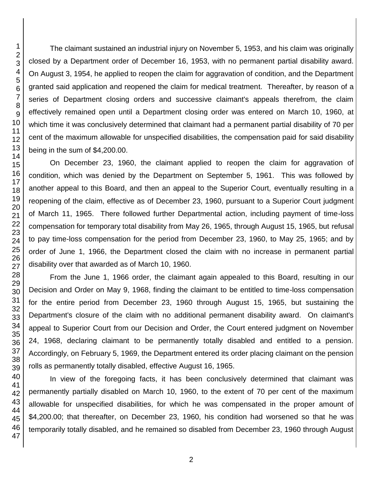The claimant sustained an industrial injury on November 5, 1953, and his claim was originally closed by a Department order of December 16, 1953, with no permanent partial disability award. On August 3, 1954, he applied to reopen the claim for aggravation of condition, and the Department granted said application and reopened the claim for medical treatment. Thereafter, by reason of a series of Department closing orders and successive claimant's appeals therefrom, the claim effectively remained open until a Department closing order was entered on March 10, 1960, at which time it was conclusively determined that claimant had a permanent partial disability of 70 per cent of the maximum allowable for unspecified disabilities, the compensation paid for said disability being in the sum of \$4,200.00.

On December 23, 1960, the claimant applied to reopen the claim for aggravation of condition, which was denied by the Department on September 5, 1961. This was followed by another appeal to this Board, and then an appeal to the Superior Court, eventually resulting in a reopening of the claim, effective as of December 23, 1960, pursuant to a Superior Court judgment of March 11, 1965. There followed further Departmental action, including payment of time-loss compensation for temporary total disability from May 26, 1965, through August 15, 1965, but refusal to pay time-loss compensation for the period from December 23, 1960, to May 25, 1965; and by order of June 1, 1966, the Department closed the claim with no increase in permanent partial disability over that awarded as of March 10, 1960.

From the June 1, 1966 order, the claimant again appealed to this Board, resulting in our Decision and Order on May 9, 1968, finding the claimant to be entitled to time-loss compensation for the entire period from December 23, 1960 through August 15, 1965, but sustaining the Department's closure of the claim with no additional permanent disability award. On claimant's appeal to Superior Court from our Decision and Order, the Court entered judgment on November 24, 1968, declaring claimant to be permanently totally disabled and entitled to a pension. Accordingly, on February 5, 1969, the Department entered its order placing claimant on the pension rolls as permanently totally disabled, effective August 16, 1965.

In view of the foregoing facts, it has been conclusively determined that claimant was permanently partially disabled on March 10, 1960, to the extent of 70 per cent of the maximum allowable for unspecified disabilities, for which he was compensated in the proper amount of \$4,200.00; that thereafter, on December 23, 1960, his condition had worsened so that he was temporarily totally disabled, and he remained so disabled from December 23, 1960 through August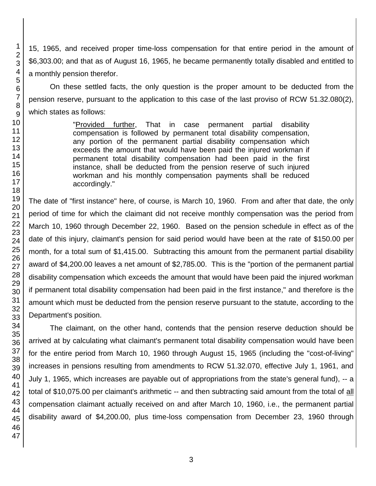15, 1965, and received proper time-loss compensation for that entire period in the amount of \$6,303.00; and that as of August 16, 1965, he became permanently totally disabled and entitled to a monthly pension therefor.

On these settled facts, the only question is the proper amount to be deducted from the pension reserve, pursuant to the application to this case of the last proviso of RCW 51.32.080(2), which states as follows:

> "Provided further, That in case permanent partial disability compensation is followed by permanent total disability compensation, any portion of the permanent partial disability compensation which exceeds the amount that would have been paid the injured workman if permanent total disability compensation had been paid in the first instance, shall be deducted from the pension reserve of such injured workman and his monthly compensation payments shall be reduced accordingly."

The date of "first instance" here, of course, is March 10, 1960. From and after that date, the only period of time for which the claimant did not receive monthly compensation was the period from March 10, 1960 through December 22, 1960. Based on the pension schedule in effect as of the date of this injury, claimant's pension for said period would have been at the rate of \$150.00 per month, for a total sum of \$1,415.00. Subtracting this amount from the permanent partial disability award of \$4,200.00 leaves a net amount of \$2,785.00. This is the "portion of the permanent partial disability compensation which exceeds the amount that would have been paid the injured workman if permanent total disability compensation had been paid in the first instance," and therefore is the amount which must be deducted from the pension reserve pursuant to the statute, according to the Department's position.

The claimant, on the other hand, contends that the pension reserve deduction should be arrived at by calculating what claimant's permanent total disability compensation would have been for the entire period from March 10, 1960 through August 15, 1965 (including the "cost-of-living" increases in pensions resulting from amendments to RCW 51.32.070, effective July 1, 1961, and July 1, 1965, which increases are payable out of appropriations from the state's general fund), -- a total of \$10,075.00 per claimant's arithmetic -- and then subtracting said amount from the total of all compensation claimant actually received on and after March 10, 1960, i.e., the permanent partial disability award of \$4,200.00, plus time-loss compensation from December 23, 1960 through

1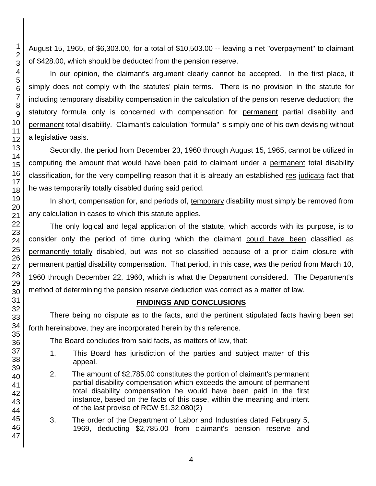August 15, 1965, of \$6,303.00, for a total of \$10,503.00 -- leaving a net "overpayment" to claimant of \$428.00, which should be deducted from the pension reserve.

In our opinion, the claimant's argument clearly cannot be accepted. In the first place, it simply does not comply with the statutes' plain terms. There is no provision in the statute for including temporary disability compensation in the calculation of the pension reserve deduction; the statutory formula only is concerned with compensation for permanent partial disability and permanent total disability. Claimant's calculation "formula" is simply one of his own devising without a legislative basis.

Secondly, the period from December 23, 1960 through August 15, 1965, cannot be utilized in computing the amount that would have been paid to claimant under a permanent total disability classification, for the very compelling reason that it is already an established res judicata fact that he was temporarily totally disabled during said period.

In short, compensation for, and periods of, temporary disability must simply be removed from any calculation in cases to which this statute applies.

The only logical and legal application of the statute, which accords with its purpose, is to consider only the period of time during which the claimant could have been classified as permanently totally disabled, but was not so classified because of a prior claim closure with permanent partial disability compensation. That period, in this case, was the period from March 10, 1960 through December 22, 1960, which is what the Department considered. The Department's method of determining the pension reserve deduction was correct as a matter of law.

### **FINDINGS AND CONCLUSIONS**

There being no dispute as to the facts, and the pertinent stipulated facts having been set forth hereinabove, they are incorporated herein by this reference.

The Board concludes from said facts, as matters of law, that:

- 1. This Board has jurisdiction of the parties and subject matter of this appeal.
- 2. The amount of \$2,785.00 constitutes the portion of claimant's permanent partial disability compensation which exceeds the amount of permanent total disability compensation he would have been paid in the first instance, based on the facts of this case, within the meaning and intent of the last proviso of RCW 51.32.080(2)
- 3. The order of the Department of Labor and Industries dated February 5, 1969, deducting \$2,785.00 from claimant's pension reserve and